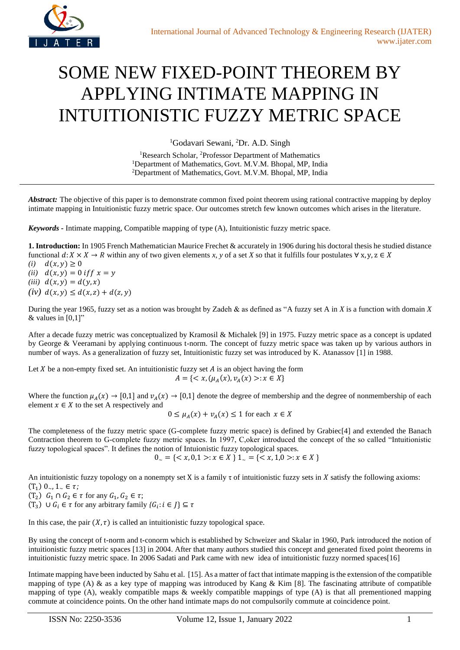

## SOME NEW FIXED-POINT THEOREM BY APPLYING INTIMATE MAPPING IN INTUITIONISTIC FUZZY METRIC SPACE

<sup>1</sup>Godavari Sewani, <sup>2</sup>Dr. A.D. Singh

<sup>1</sup>Research Scholar, <sup>2</sup>Professor Department of Mathematics <sup>1</sup>Department of Mathematics, Govt. M.V.M. Bhopal, MP, India <sup>2</sup>Department of Mathematics, Govt. M.V.M. Bhopal, MP, India

*Abstract:* The objective of this paper is to demonstrate common fixed point theorem using rational contractive mapping by deploy intimate mapping in Intuitionistic fuzzy metric space. Our outcomes stretch few known outcomes which arises in the literature.

*Keywords -* Intimate mapping, Compatible mapping of type (A), Intuitionistic fuzzy metric space.

**1. Introduction:** In 1905 French Mathematician Maurice Frechet & accurately in 1906 during his doctoral thesis he studied distance functional  $d: X \times X \to R$  within any of two given elements x, y of a set X so that it fulfills four postulates  $\forall x, y, z \in X$ 

- *(i)*  $d(x, y) ≥ 0$ *(ii)*  $d(x, y) = 0$  *iff*  $x = y$
- *(iii)*  $d(x, y) = d(y, x)$
- $(iv) d(x, y) \leq d(x, z) + d(z, y)$

During the year 1965, fuzzy set as a notion was brought by Zadeh & as defined as "A fuzzy set A in *X* is a function with domain *X* & values in  $[0,1]$ "

After a decade fuzzy metric was conceptualized by Kramosil & Michalek [9] in 1975. Fuzzy metric space as a concept is updated by George & Veeramani by applying continuous t-norm. The concept of fuzzy metric space was taken up by various authors in number of ways. As a generalization of fuzzy set, Intuitionistic fuzzy set was introduced by K. Atanassov [1] in 1988.

Let  $X$  be a non-empty fixed set. An intuitionistic fuzzy set  $A$  is an object having the form  $A = \{ \langle x, (\mu_A(x), v_A(x)) : x \in X \}$ 

Where the function  $\mu_A(x) \to [0,1]$  and  $\nu_A(x) \to [0,1]$  denote the degree of membership and the degree of nonmembership of each element  $x \in X$  to the set A respectively and

$$
0 \le \mu_A(x) + \nu_A(x) \le 1
$$
 for each  $x \in X$ 

The completeness of the fuzzy metric space (G-complete fuzzy metric space) is defined by Grabiec[4] and extended the Banach Contraction theorem to G-complete fuzzy metric spaces. In 1997, C,oker introduced the concept of the so called "Intuitionistic fuzzy topological spaces". It defines the notion of Intuionistic fuzzy topological spaces.

 $0_{\sim} = \{ \langle x, 0, 1 \rangle : x \in X \} 1_{\sim} = \{ \langle x, 1, 0 \rangle : x \in X \}$ 

An intuitionistic fuzzy topology on a nonempty set X is a family  $\tau$  of intuitionistic fuzzy sets in X satisfy the following axioms:  $(T_1) 0_-, 1_- \in \tau;$ 

 $(T_2)$   $G_1 \cap G_2 \in \tau$  for any  $G_1, G_2 \in \tau$ ;

(T<sub>3</sub>) ∪ *G<sub>i</sub>* ∈ τ for any arbitrary family  ${G_i : i \in J}$  ⊆ τ

In this case, the pair  $(X, \tau)$  is called an intuitionistic fuzzy topological space.

By using the concept of t-norm and t-conorm which is established by Schweizer and Skalar in 1960, Park introduced the notion of intuitionistic fuzzy metric spaces [13] in 2004. After that many authors studied this concept and generated fixed point theorems in intuitionistic fuzzy metric space. In 2006 Sadati and Park came with new idea of intuitionistic fuzzy normed spaces[16]

Intimate mapping have been inducted by Sahu et al. [15]. As a matter of fact that intimate mapping is the extension of the compatible mapping of type (A) & as a key type of mapping was introduced by Kang & Kim [8]. The fascinating attribute of compatible mapping of type  $(A)$ , weakly compatible maps & weekly compatible mappings of type  $(A)$  is that all prementioned mapping commute at coincidence points. On the other hand intimate maps do not compulsorily commute at coincidence point.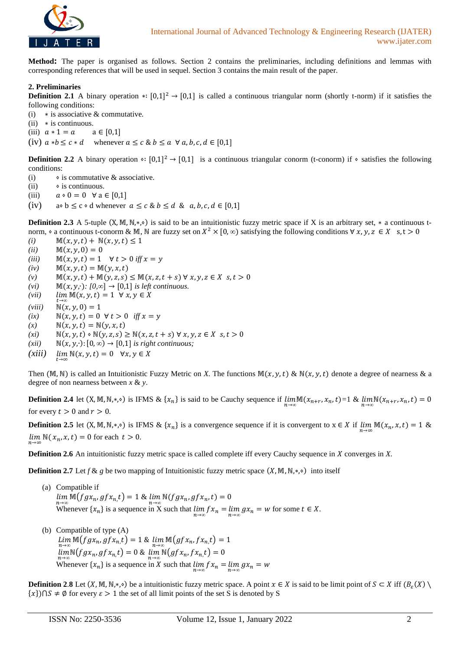

**Method:** The paper is organised as follows. Section 2 contains the preliminaries, including definitions and lemmas with corresponding references that will be used in sequel. Section 3 contains the main result of the paper.

## **2. Preliminaries**

**Definition 2.1** A binary operation \*:  $[0,1]^2$  →  $[0,1]$  is called a continuous triangular norm (shortly t-norm) if it satisfies the following conditions:

- (i)  $*$  is associative & commutative.
- (ii) ∗ is continuous.
- (iii)  $a * 1 = a$   $a \in [0,1]$

(iv)  $a * b \leq c * d$  whenever  $a \leq c \& b \leq a \forall a, b, c, d \in [0,1]$ 

**Definition 2.2** A binary operation  $\cdot$ :  $[0,1]^2$  →  $[0,1]$  is a continuous triangular conorm (t-conorm) if  $\cdot$  satisfies the following conditions:

- (i)  $\bullet$  is commutative & associative.
- $(ii) \diamond$  is continuous.
- (iii)  $a \cdot 0 = 0 \quad \forall a \in [0,1]$
- (iv) a∘ b  $\leq$  c ∘ d whenever  $a \leq c \& b \leq d \& a, b, c, d \in [0,1]$

**Definition 2.3** A 5-tuple  $(X, M, N, * , \diamond)$  is said to be an intuitionistic fuzzy metric space if X is an arbitrary set,  $*$  a continuous tnorm,  $\circ$  a continuous t-conorm & M, N are fuzzy set on  $X^2 \times [0, \infty)$  satisfying the following conditions  $\forall x, y, z \in X$  s,  $t > 0$ 

- *(i)*  $M(x, y, t) + N(x, y, t) \le 1$
- *(ii)*  $M(x, y, 0) = 0$
- *(iii)*  $M(x, y, t) = 1 \quad \forall t > 0 \text{ iff } x = y$
- $(iv)$   $M(x, y, t) = M(y, x, t)$
- $(w)$   $\mathbb{M}(x, y, t) + \mathbb{M}(y, z, s) \leq \mathbb{M}(x, z, t + s) \forall x, y, z \in X \; s, t > 0$
- $(vi)$  M(x, y,·): [0,∞]  $\rightarrow$  [0,1] *is left continuous.*
- $(iii)$   $\lim_{t \to \infty} M(x, y, t) = 1 \quad \forall x, y \in X$
- $(viii) \quad N(x, y, 0) = 1$
- *(ix)*  $N(x, y, t) = 0 \forall t > 0$  *iff*  $x = y$
- $(x) \quad \mathbb{N}(x, y, t) = \mathbb{N}(y, x, t)$
- $(x_i)$  N(x, y, t)  $\circ$  N(y, z, s)  $\geq$  N(x, z, t + s)  $\forall$  x, y, z  $\in$  X s, t  $> 0$
- $(xii) \quad \mathbb{N}(x, y, \cdot): [0, \infty) \rightarrow [0, 1]$  *is right continuous;*
- $(xiii)$  $\lim \mathbb{N}(x, y, t) = 0 \quad \forall x, y \in X$

Then (M, N) is called an Intuitionistic Fuzzy Metric on *X*. The functions  $\mathbb{M}(x, y, t) \& \mathbb{N}(x, y, t)$  denote a degree of nearness  $\&$  a degree of non nearness between *x* & *y*.

**Definition 2.4** let  $(X, M, N, *, \diamond)$  is IFMS &  $\{x_n\}$  is said to be Cauchy sequence if  $\lim_{n\to\infty} \mathbb{M}(x_{n+r}, x_n, t) = 1$  &  $\lim_{n\to\infty} \mathbb{N}(x_{n+r}, x_n, t) = 0$ for every  $t > 0$  and  $r > 0$ .

**Definition 2.5** let  $(X, M, N, *, \diamond)$  is IFMS  $\& \{x_n\}$  is a convergence sequence if it is convergent to  $x \in X$  if  $\lim_{n \to \infty} M(x_n, x, t) = 1$   $\&$  $\lim_{n \to \infty} \mathbb{N}(x_n, x, t) = 0$  for each  $t > 0$ .

**Definition 2.6** An intuitionistic fuzzy metric space is called complete iff every Cauchy sequence in *X* converges in *X*.

**Definition 2.7** Let  $f$  &  $g$  be two mapping of Intuitionistic fuzzy metric space  $(X, M, N, *, \diamond)$  into itself

- (a) Compatible if  $\lim_{n\to\infty} \mathbb{M}(fgx_n, gfx_n, t) = 1 \& \lim_{n\to\infty} \mathbb{N}(fgx_n, gfx_n, t) = 0$ Whenever  $\{x_n\}$  is a sequence in X such that  $\lim_{n\to\infty} f x_n = \lim_{n\to\infty} g x_n = w$  for some  $t \in X$ .
- (b) Compatible of type (A)  $\lim_{n\to\infty} \mathbb{M}(fgx_n, gfx_n, t) = 1$  &  $\lim_{n\to\infty} \mathbb{M}(gfx_n, fx_n, t) = 1$  $\lim_{n\to\infty} \mathbb{N}(fgx_n, gfx_{n,t}) = 0$  &  $\lim_{n\to\infty} \mathbb{N}(gfx_n, fx_{n,t}) = 0$ Whenever  $\{x_n\}$  is a sequence in X such that  $\lim_{n \to \infty} f x_n = \lim_{n \to \infty} g x_n = w$

**Definition 2.8** Let  $(X, M, N, *)$  be a intuitionistic fuzzy metric space. A point  $x \in X$  is said to be limit point of  $S \subset X$  iff  $(B_{\varepsilon}(X) \setminus$  ${x} \cap S \neq \emptyset$  for every  $\varepsilon > 1$  the set of all limit points of the set S is denoted by S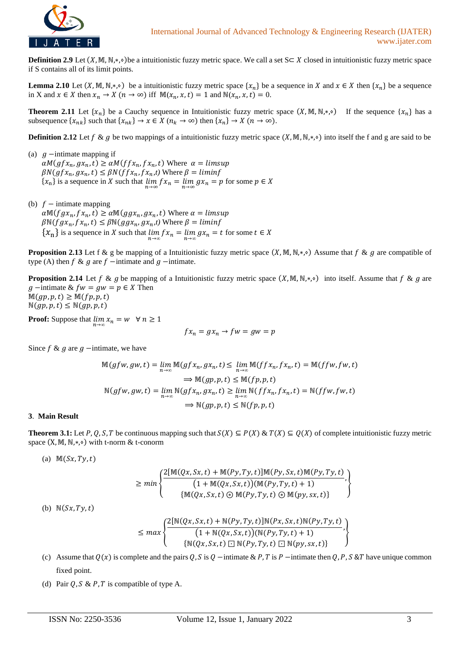

**Definition 2.9** Let  $(X, M, N, *)$  be a intuitionistic fuzzy metric space. We call a set  $S \subset X$  closed in intuitionistic fuzzy metric space if S contains all of its limit points.

**Lemma** 2.10 Let  $(X, M, N, *)$  be a intuitionistic fuzzy metric space  $\{x_n\}$  be a sequence in X and  $x \in X$  then  $\{x_n\}$  be a sequence in X and  $x \in X$  then  $x_n \to X$   $(n \to \infty)$  iff  $M(x_n, x, t) = 1$  and  $N(x_n, x, t) = 0$ .

**Theorem 2.11** Let  $\{x_n\}$  be a Cauchy sequence in Intuitionistic fuzzy metric space  $(X, M, N, *, \circ)$  If the sequence  $\{x_n\}$  has a subsequence  $\{x_{nk}\}\$  such that  $\{x_{nk}\}\to x\in X$   $(n_k\to\infty)$  then  $\{x_n\}\to X$   $(n\to\infty)$ .

**Definition 2.12** Let  $f \& g$  be two mappings of a intuitionistic fuzzy metric space  $(X, \mathbb{M}, \mathbb{N}, *)$  into itself the f and g are said to be

- (a)  $g$  -intimate mapping if  $\alpha M(gfx_n, gx_n, t) \geq \alpha M(ffx_n, fx_n, t)$  Where  $\alpha = \text{limsup}$  $\beta N(gfx_n, gx_n, t) \leq \beta N(ffx_n, fx_n, t)$  Where  $\beta = \liminf$  $\{x_n\}$  is a sequence in X such that  $\lim_{n\to\infty} fx_n = \lim_{n\to\infty} gx_n = p$  for some  $p \in X$
- (b)  $f$  intimate mapping  $\alpha \mathbb{M}(fgx_n, fx_n, t) \geq \alpha \mathbb{M}(ggx_n, gx_n, t)$  Where  $\alpha = limsup$  $\beta \mathbb{N}(fgx_n, fx_n, t) \leq \beta \mathbb{N}(ggx_n, gx_n, t)$  Where  $\beta = limit$  $\{x_n\}$  is a sequence in X such that  $\lim_{n\to\infty} fx_n = \lim_{n\to\infty} gx_n = t$  for some  $t \in X$

**Proposition 2.13** Let f & g be mapping of a Intuitionistic fuzzy metric space  $(X, \mathbb{M}, \mathbb{N}, *)$  Assume that  $f$  &  $g$  are compatible of type (A) then  $f \& g$  are  $f$  −intimate and  $g$  −intimate.

**Proposition 2.14** Let  $f \& g$  be mapping of a Intuitionistic fuzzy metric space  $(X, \mathbb{M}, \mathbb{N}, *)$  into itself. Assume that  $f \& g$  are  $g$  −intimate &  $fw = gw = p \in X$  Then  $M(gp, p, t) \geq M(fp, p, t)$  $\mathbb{N}(gp, p, t) \leq \mathbb{N}(gp, p, t)$ 

**Proof:** Suppose that  $\lim_{n \to \infty} x_n = w \quad \forall n \ge 1$ 

$$
fx_n = gx_n \to fw = gw = p
$$

Since  $f \& g$  are  $g$  –intimate, we have

$$
\mathbb{M}(gfw, gw, t) = \lim_{n \to \infty} \mathbb{M}(gfx_n, gx_n, t) \leq \lim_{n \to \infty} \mathbb{M}(ffx_n, fx_n, t) = \mathbb{M}(ffw, fw, t)
$$
  
\n
$$
\Rightarrow \mathbb{M}(gp, p, t) \leq \mathbb{M}(fp, p, t)
$$
  
\n
$$
\mathbb{N}(gfw, gw, t) = \lim_{n \to \infty} \mathbb{N}(gfx_n, gx_n, t) \geq \lim_{n \to \infty} \mathbb{N}(ffx_n, fx_n, t) = \mathbb{N}(ffw, fw, t)
$$
  
\n
$$
\Rightarrow \mathbb{N}(gp, p, t) \leq \mathbb{N}(fp, p, t)
$$

## **3**. **Main Result**

**Theorem 3.1:** Let P, Q, S, T be continuous mapping such that  $S(X) \subseteq P(X)$  &  $T(X) \subseteq Q(X)$  of complete intuitionistic fuzzy metric space  $(X, M, N, *, \diamond)$  with t-norm & t-conorm

(a)  $M(Sx, Ty, t)$ 

$$
\geq min\left\{\frac{2[\mathbb{M}(Qx,Sx,t)+\mathbb{M}(Py,Ty,t)]\mathbb{M}(Py,Sx,t)\mathbb{M}(Py,Ty,t)}{(1+\mathbb{M}(Qx,Sx,t))(\mathbb{M}(Py,Ty,t)+1)},\atop {\{\mathbb{M}(Qx,Sx,t)\odot\mathbb{M}(Py,Ty,t)\odot\mathbb{M}(py,sx,t)\}}\right\}
$$

(b)  $\mathbb{N}(Sx, Ty, t)$ 

$$
\leq max \left\{ \frac{2[N(Qx, Sx, t) + N(Py, Ty, t)]N(Px, Sx, t)N(Py, Ty, t)}{(1 + N(Qx, Sx, t))(N(Py, Ty, t) + 1)}, \atop \{N(Qx, Sx, t) \Box N(Py, Ty, t) \Box N(py, sx, t)\}\right\}
$$

- (c) Assume that  $Q(x)$  is complete and the pairs  $Q$ ,  $S$  is  $Q$  –intimate &  $P$ ,  $T$  is  $P$  –intimate then  $Q$ ,  $P$ ,  $S$  &  $T$  have unique common fixed point.
- (d) Pair  $Q$ ,  $S \& P$ ,  $T$  is compatible of type A.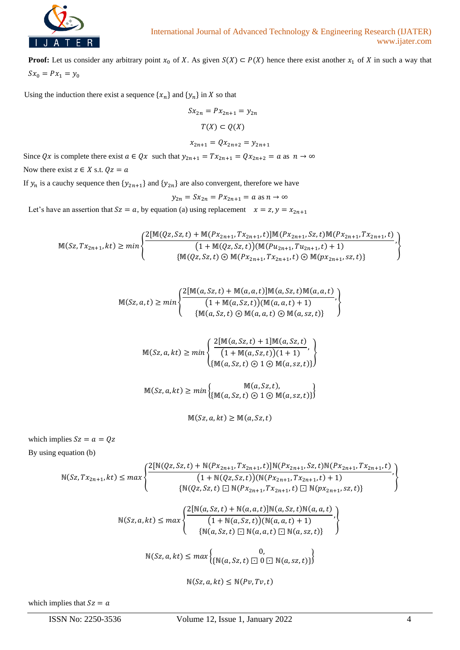

**Proof:** Let us consider any arbitrary point  $x_0$  of X. As given  $S(X) \subset P(X)$  hence there exist another  $x_1$  of X in such a way that  $Sx_0 = Px_1 = y_0$ 

Using the induction there exist a sequence  $\{x_n\}$  and  $\{y_n\}$  in X so that

$$
Sx_{2n} = Px_{2n+1} = y_{2n}
$$

$$
T(X) \subset Q(X)
$$

$$
x_{2n+1} = Qx_{2n+2} = y_{2n+1}
$$

Since 
$$
Qx
$$
 is complete there exist  $a \in Qx$  such that  $y_{2n+1} = Tx_{2n+1} = Qx_{2n+2} = a$  as  $n \to \infty$ 

Now there exist  $z \in X$  s.t.  $Qz = a$ 

If  $y_n$  is a cauchy sequence then  $\{y_{2n+1}\}\$  and  $\{y_{2n}\}\$  are also convergent, therefore we have

$$
y_{2n} = Sx_{2n} = Px_{2n+1} = a \text{ as } n \to \infty
$$

Let's have an assertion that  $Sz = a$ , by equation (a) using replacement  $x = z$ ,  $y = x_{2n+1}$ 

$$
\mathbb{M}(Sz, Tx_{2n+1}, kt) \ge min \left\{ \frac{2[\mathbb{M}(Qz, Sz, t) + \mathbb{M}(Px_{2n+1}, Tx_{2n+1}, t)]\mathbb{M}(Px_{2n+1}, Sz, t)\mathbb{M}(Px_{2n+1}, Tx_{2n+1}, t)}{\left(1 + \mathbb{M}(Qz, Sz, t)\right)(\mathbb{M}(Pu_{2n+1}, Tu_{2n+1}, t) + 1)}, \right\}
$$

$$
\mathbb{M}(Sz, a, t) \ge \min \left\{ \frac{2[\mathbb{M}(a, Sz, t) + \mathbb{M}(a, a, t)] \mathbb{M}(a, Sz, t) \mathbb{M}(a, a, t)}{(1 + \mathbb{M}(a, Sz, t)) (\mathbb{M}(a, a, t) + 1)}, \right\}
$$
\n
$$
\left\{ \frac{\mathbb{M}(a, Sz, t) \circledast \mathbb{M}(a, a, t) \circledast \mathbb{M}(a, zz, t)}{\{\mathbb{M}(a, Sz, t) \circledast \mathbb{M}(a, a, t) \circledast \mathbb{M}(a, zz, t)\}} \right\}
$$

$$
\mathbb{M}(Sz, a, kt) \ge \min \left\{ \frac{2[\mathbb{M}(a, Sz, t) + 1]\mathbb{M}(a, Sz, t)}{(1 + \mathbb{M}(a, Sz, t))(1 + 1)}, \{ \mathbb{M}(a, Sz, t) \odot \mathbb{M}(a, zz, t) \} \right\}
$$

$$
\mathbb{M}(Sz, a, kt) \ge \min \left\{ \mathbb{M}(a, Sz, t) \oplus 1 \oplus \mathbb{M}(a, sz, t) \right\}
$$

$$
\mathbb{M}(Sz, a, kt) \geq \mathbb{M}(a, Sz, t)
$$

which implies  $Sz = a = Qz$ 

By using equation (b)

$$
N(Sz, Tx_{2n+1}, kt) \le max \left\{ \frac{2[N(Qz, Sz, t) + N(Px_{2n+1}, Tx_{2n+1}, t)]N(Px_{2n+1}, Sz, t)N(Px_{2n+1}, Tx_{2n+1}, t)}{[1 + N(Qz, Sz, t)]N(Px_{2n+1}, Tx_{2n+1}, t) + 1)}, \left\{ N(Qz, Sz, t) \Box N(Px_{2n+1}, Tx_{2n+1}, t) \Box N(px_{2n+1}, Sz, t) \right\} \right\}
$$
\n
$$
N(Sz, a, kt) \le max \left\{ \frac{2[N(a, Sz, t) + N(a, a, t)]N(a, Sz, t)N(a, a, t)}{[1 + N(a, Sz, t)]N(a, az, t) + 1)}, \left\{ N(a, Sz, t) \Box N(a, az, t) \right\} \right\}
$$
\n
$$
N(Sz, a, kt) \le max \left\{ N(a, Sz, t) \Box N(a, az, t) \Box N(a, zz, t) \right\}
$$

 $\mathbb{N}(Sz, a, kt) \leq \mathbb{N}(Pv, Tv, t)$ 

which implies that  $Sz = a$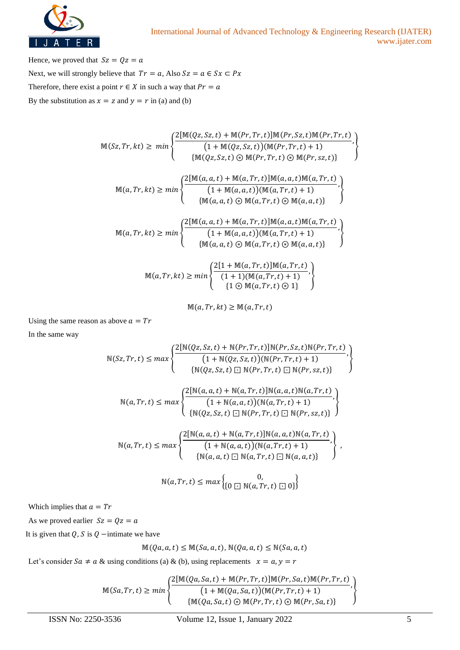

Hence, we proved that  $Sz = Qz = a$ Next, we will strongly believe that  $Tr = a$ , Also  $Sz = a \in Sx \subset Px$ Therefore, there exist a point  $r \in X$  in such a way that  $Pr = a$ By the substitution as  $x = z$  and  $y = r$  in (a) and (b)

$$
\mathbb{M}(Sz, Tr, kt) \ge \min \left\{ \frac{2[\mathbb{M}(Qz, Sz, t) + \mathbb{M}(Pr, Tr, t)]\mathbb{M}(Pr, Sz, t)\mathbb{M}(Pr, Tr, t)}{1 + \mathbb{M}(Qz, Sz, t)(\mathbb{M}(Pr, Tr, t) + 1)}, \{ \mathbb{M}(Qz, Sz, t) \oplus \mathbb{M}(Pr, Tr, t) \oplus \mathbb{M}(Pr, sz, t) \} \right\}
$$
\n
$$
\mathbb{M}(a, Tr, kt) \ge \min \left\{ \frac{2[\mathbb{M}(a, a, t) + \mathbb{M}(a, Tr, t)]\mathbb{M}(a, a, t)\mathbb{M}(a, Tr, t)}{1 + \mathbb{M}(a, a, t)(\mathbb{M}(a, Tr, t) + 1)}, \{ \mathbb{M}(a, a, t) \oplus \mathbb{M}(a, Tr, t) \oplus \mathbb{M}(a, a, t) \} \right\}
$$
\n
$$
\mathbb{M}(a, Tr, kt) \ge \min \left\{ \frac{2[\mathbb{M}(a, a, t) + \mathbb{M}(a, Tr, t)]\mathbb{M}(a, a, t)\mathbb{M}(a, Tr, t)}{1 + \mathbb{M}(a, a, t)(\mathbb{M}(a, Tr, t) + 1)}, \{ \mathbb{M}(a, a, t) \oplus \mathbb{M}(a, Tr, t) \oplus \mathbb{M}(a, a, t) \} \right\}
$$

$$
\mathbb{M}(a, Tr, kt) \ge \min \left\{ \frac{2[1 + \mathbb{M}(a, Tr, t)] \mathbb{M}(a, Tr, t)}{(1 + 1)(\mathbb{M}(a, Tr, t) + 1)}, \left\{ 1 \oplus \mathbb{M}(a, Tr, t) \oplus 1 \right\} \right\}
$$

 $M(a, Tr, kt) \geq M(a, Tr, t)$ 

Using the same reason as above  $a = Tr$ 

In the same way

ℕ(, ,) ≤ { 2[ℕ(, ,)+ ℕ(, ,)]ℕ(, ,)ℕ(, ,) (1 + ℕ(, ,))(ℕ(, ,)+1) , {ℕ(, ,) ⊡ ℕ(, ,) ⊡ ℕ(, ,)} } ℕ(, ,) ≤ { 2[ℕ(, ,)+ ℕ(, ,)]ℕ(, ,)ℕ(, ,) (1+ ℕ(, ,))(ℕ(, ,)+ 1) , {ℕ(, ,) ⊡ ℕ(, ,) ⊡ ℕ(, ,)} } ℕ(, ,) ≤ { 2[ℕ(, ,)+ ℕ(, ,)]ℕ(, ,)ℕ(, ,) (1+ ℕ(, ,))(ℕ(, ,)+ 1) , {ℕ(, ,) ⊡ ℕ(, ,) ⊡ ℕ(, ,)} } , 0,

$$
\mathbb{N}(a, Tr, t) \le \max \left\{ \begin{matrix} 0, \\ \{0 \sqsubseteq \mathbb{N}(a, Tr, t) \sqsubseteq 0\} \end{matrix} \right\}
$$

Which implies that  $a = Tr$ 

As we proved earlier  $Sz = Qz = a$ 

It is given that Q, S is  $Q$  −intimate we have

$$
\mathbb{M}(Qa,a,t) \leq \mathbb{M}(Sa,a,t), \, \mathbb{N}(Qa,a,t) \leq \mathbb{N}(Sa,a,t)
$$

Let's consider  $Sa \neq a$  & using conditions (a) & (b), using replacements  $x = a, y = r$ 

$$
\mathbb{M}(Sa,Tr,t) \geq min \left\{ \frac{2[\mathbb{M}(Qa,Sa,t) + \mathbb{M}(Pr,Tr,t)]\mathbb{M}(Pr,Sa,t)\mathbb{M}(Pr,Tr,t)}{(1+\mathbb{M}(Qa,Sa,t))(\mathbb{M}(Pr,Tr,t)+1)}, \right\}
$$
\n
$$
\left\{ \frac{\mathbb{M}(Qa,Sa,t) \odot \mathbb{M}(Pr,Tr,t) \odot \mathbb{M}(Pr,Sa,t)}{\mathbb{M}(Qa,Sa,t) \odot \mathbb{M}(Pr,Tr,t) \odot \mathbb{M}(Pr,Sa,t)} \right\}
$$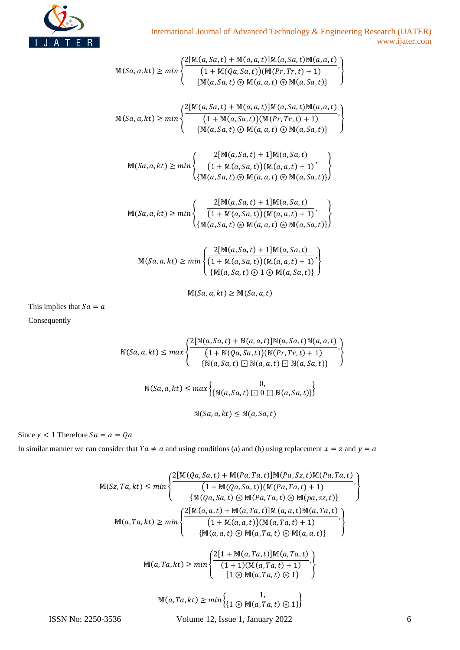

$$
\mathbb{M}(Sa, a, kt) \ge \min \left\{ \frac{2[\mathbb{M}(a, Sa, t) + \mathbb{M}(a, a, t)]\mathbb{M}(a, Sa, t)\mathbb{M}(a, a, t)}{\{1 + \mathbb{M}(Qa, Sa, t)\}\mathbb{M}(a, a, t) \oplus \mathbb{M}(a, Sa, t)\}} \right\}
$$
\n
$$
\mathbb{M}(Sa, a, kt) \ge \min \left\{ \frac{2[\mathbb{M}(a, Sa, t) + \mathbb{M}(a, a, t)]\mathbb{M}(a, Sa, t)\mathbb{M}(a, aa, t)}{\{1 + \mathbb{M}(a, Sa, t)\}\mathbb{M}(a, Sa, t)\mathbb{M}(a, a, t)} \right\}
$$
\n
$$
\mathbb{M}(Sa, a, kt) \ge \min \left\{ \frac{2[\mathbb{M}(a, Sa, t) + \mathbb{M}(a, a, t)]\mathbb{M}(a, Sa, t)\mathbb{M}(a, aa, t)}{\{1 + \mathbb{M}(a, Sa, t) \oplus \mathbb{M}(a, aa, t) + 1\}} \right\}
$$
\n
$$
\mathbb{M}(Sa, a, kt) \ge \min \left\{ \frac{2[\mathbb{M}(a, Sa, t) + 1]\mathbb{M}(a, Sa, t)}{\{1 + \mathbb{M}(a, Sa, t)\}\mathbb{M}(a, a, t) + 1\}} \right\}
$$
\n
$$
\mathbb{M}(Sa, a, kt) \ge \min \left\{ \frac{2[\mathbb{M}(a, Sa, t) + 1]\mathbb{M}(a, Sa, t)}{\{1 + \mathbb{M}(a, Sa, t)\}\mathbb{M}(a, a, t) + 1\}} \right\}
$$
\n
$$
\left\{ \mathbb{M}(a, Sa, t) \oplus \mathbb{M}(a, aa, t) + 1 \right\} \right\}
$$
\n
$$
\left\{ \mathbb{M}(a, Sa, t) \oplus \mathbb{M}(a, aa, t) + 1 \right\}
$$
\n
$$
\left\{ \mathbb{M}(a, Sa, t) \oplus \mathbb{M}(a, Sa, t) + 1 \right\}
$$
\n
$$
\left\{ \mathbb{M}(Sa, a, kt) \ge \min \left\{ \frac{2[\mathbb{M}(a, Sa, t) + 1]\mathbb{M}(a, Sa, t
$$

 $M(Sa, a, kt) \geq M(Sa, a, t)$ 

This implies that  $Sa = a$ Consequently

$$
N(Sa, a, kt) \le max \begin{cases} 2[N(a, Sa, t) + N(a, a, t)]N(a, Sa, t)N(a, a, t) \\ \qquad (1 + N(Qa, Sa, t))(N(Pr, Tr, t) + 1) \\ \{N(a, Sa, t) \Box N(a, a, t) \Box N(a, Sa, t)\} \end{cases},
$$

$$
N(Sa, a, kt) \le max \begin{cases} 0, \\ \{N(a, Sa, t) \Box 0 \Box N(a, Sa, t)\} \end{cases}
$$

$$
N(Sa, a, kt) \le N(a, Sa, t)
$$

Since  $\gamma$  < 1 Therefore  $Sa = a = Qa$ 

In similar manner we can consider that  $Ta \neq a$  and using conditions (a) and (b) using replacement  $x = z$  and  $y = a$ 

$$
\mathbb{M}(Sz, Ta, kt) \leq min \left\{ \frac{2[\mathbb{M}(Qa, Sa, t) + \mathbb{M}(Pa, Ta, t)]\mathbb{M}(Pa, Sz, t)\mathbb{M}(Pa, Ta, t)}{(1 + \mathbb{M}(Qa, Sa, t))(\mathbb{M}(Pa, Ta, t) + 1)}, \{ \mathbb{M}(Qa, Sa, t) \oplus \mathbb{M}(Pa, Ta, t) \oplus \mathbb{M}(pa, zz, t) \} \right\}
$$
\n
$$
\mathbb{M}(a, Ta, kt) \geq min \left\{ \frac{2[\mathbb{M}(a, a, t) + \mathbb{M}(a, Ta, t)]\mathbb{M}(a, a, t)\mathbb{M}(a, Ta, t)}{(1 + \mathbb{M}(a, a, t))(\mathbb{M}(a, Ta, t) + 1)}, \{ \mathbb{M}(a, a, t) \oplus \mathbb{M}(a, Ta, t) \oplus \mathbb{M}(a, a, t) \} \right\}
$$
\n
$$
\mathbb{M}(a, Ta, kt) \geq min \left\{ \frac{2[1 + \mathbb{M}(a, Ta, t)]\mathbb{M}(a, Ta, t)}{(1 + 1)(\mathbb{M}(a, Ta, t) + 1)}, \{ 1 \oplus \mathbb{M}(a, Ta, t) \oplus 1 \} \right\}
$$
\n
$$
\mathbb{M}(a, Ta, kt) \geq min \left\{ \{ 1 \oplus \mathbb{M}(a, Ta, t) \oplus 1 \} \right\}
$$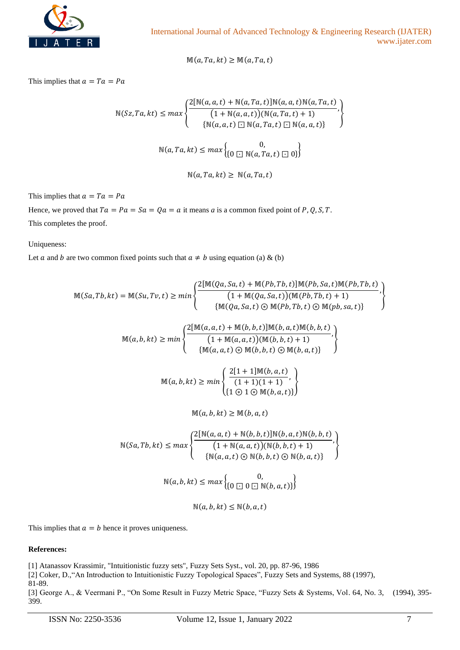

 $M(a, Ta, kt) \geq M(a, Ta, t)$ 

This implies that  $a = Ta = Pa$ 

$$
N(Sz, Ta, kt) \le max \left\{ \frac{2[N(a, a, t) + N(a, Ta, t)]N(a, a, t)N(a, Ta, t)}{(1 + N(a, a, t))(N(a, Ta, t) + 1)}, \{N(a, a, t) \square N(a, Ta, t) \square N(a, a, t)\}\right\}
$$
  

$$
N(a, Ta, kt) \le max \left\{ \begin{matrix} 0, & 0, \\ 0 \square N(a, Ta, t) \square 0 \end{matrix} \right\}
$$

 $\mathbb{N}(a, Ta, kt) \geq \mathbb{N}(a, Ta, t)$ 

This implies that  $a = Ta = Pa$ 

Hence, we proved that  $Ta = Pa = Sa = Qa = a$  it means a is a common fixed point of P, Q, S, T. This completes the proof.

Uniqueness:

Let *a* and *b* are two common fixed points such that  $a \neq b$  using equation (a) & (b)

$$
\mathbb{M}(Sa, Tb, kt) = \mathbb{M}(Su, Tv, t) \ge \min \left\{ \frac{2[\mathbb{M}(Qa, Sa, t) + \mathbb{M}(Pb, Tb, t)]\mathbb{M}(Pb, Sa, t)\mathbb{M}(Pb, Tb, t)}{1 + \mathbb{M}(Qa, Sa, t) \odot \mathbb{M}(Pb, Tb, t) + 1}, \right\}
$$
\n
$$
\left\{ \frac{\mathbb{M}(a, a, b) + \mathbb{M}(b, b, t)]\mathbb{M}(b, a, t)\mathbb{M}(b, b, t)}{[\mathbb{M}(a, a, t) + \mathbb{M}(a, a, t))(\mathbb{M}(b, b, t) + 1)}, \mathbb{M}(a, b, kt) \ge \min \left\{ \frac{2[\mathbb{M}(a, a, t) + \mathbb{M}(b, b, t)]\mathbb{M}(b, a, t)\mathbb{M}(b, b, t)}{[\mathbb{M}(a, a, t) \odot \mathbb{M}(b, b, t) + 1)}, \mathbb{M}(a, b, kt) \ge \min \left\{ \frac{2[1 + 1]\mathbb{M}(b, a, t)}{(1 + 1)(1 + 1)}, \mathbb{M}(a, b, kt) \ge \mathbb{M}(b, a, t) \right\}
$$
\n
$$
\mathbb{M}(a, b, kt) \ge \min \left\{ \frac{2[1 + 1]\mathbb{M}(b, a, t)}{(1 + 1)(1 + 1)}, \mathbb{M}(a, b, b, t) \right\}
$$
\n
$$
\mathbb{M}(a, b, kt) \ge \min \left\{ \frac{2[\mathbb{N}(a, a, t) + \mathbb{N}(b, b, t)]\mathbb{N}(b, a, t)\mathbb{N}(b, b, t)}{[\mathbb{N}(a, a, t) \odot \mathbb{N}(b, b, t) + 1]}, \mathbb{N}(a, b, kt) \le \max \left\{ \frac{0}{\{\mathbb{N}(a, a, t) \odot \mathbb{N}(b, a, t)\}} \right\}
$$
\n
$$
\mathbb{N}(a, b, kt) \le \max \left\{ \frac{0}{\{\mathbb{N}(a, b, kt) \odot \mathbb{N}(b, a, t)\}} \right\}
$$

This implies that  $a = b$  hence it proves uniqueness.

## **References:**

[1] Atanassov Krassimir, "Intuitionistic fuzzy sets", Fuzzy Sets Syst., vol. 20, pp. 87-96, 1986

[2] Coker, D.,"An Introduction to Intuitionistic Fuzzy Topological Spaces", Fuzzy Sets and Systems, 88 (1997),

81-89.

[3] George A., & Veermani P., "On Some Result in Fuzzy Metric Space, "Fuzzy Sets & Systems, Vol. 64, No. 3, (1994), 395-399.